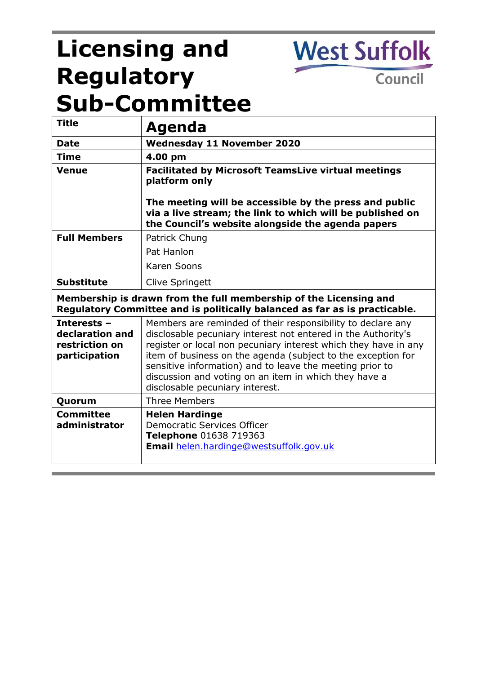# **Licensing and Regulatory Sub-Committee**

**West Suffolk** 

Council

| <b>Title</b>                                                                                                                                    | Agenda                                                                                                                                                                                                                                                                                                                                                                                                                  |
|-------------------------------------------------------------------------------------------------------------------------------------------------|-------------------------------------------------------------------------------------------------------------------------------------------------------------------------------------------------------------------------------------------------------------------------------------------------------------------------------------------------------------------------------------------------------------------------|
| <b>Date</b>                                                                                                                                     | Wednesday 11 November 2020                                                                                                                                                                                                                                                                                                                                                                                              |
| <b>Time</b>                                                                                                                                     | 4.00 pm                                                                                                                                                                                                                                                                                                                                                                                                                 |
| Venue                                                                                                                                           | <b>Facilitated by Microsoft TeamsLive virtual meetings</b><br>platform only                                                                                                                                                                                                                                                                                                                                             |
|                                                                                                                                                 | The meeting will be accessible by the press and public<br>via a live stream; the link to which will be published on<br>the Council's website alongside the agenda papers                                                                                                                                                                                                                                                |
| <b>Full Members</b>                                                                                                                             | Patrick Chung                                                                                                                                                                                                                                                                                                                                                                                                           |
|                                                                                                                                                 | Pat Hanlon                                                                                                                                                                                                                                                                                                                                                                                                              |
|                                                                                                                                                 | Karen Soons                                                                                                                                                                                                                                                                                                                                                                                                             |
| <b>Substitute</b>                                                                                                                               | Clive Springett                                                                                                                                                                                                                                                                                                                                                                                                         |
| Membership is drawn from the full membership of the Licensing and<br>Regulatory Committee and is politically balanced as far as is practicable. |                                                                                                                                                                                                                                                                                                                                                                                                                         |
| Interests -<br>declaration and<br>restriction on<br>participation                                                                               | Members are reminded of their responsibility to declare any<br>disclosable pecuniary interest not entered in the Authority's<br>register or local non pecuniary interest which they have in any<br>item of business on the agenda (subject to the exception for<br>sensitive information) and to leave the meeting prior to<br>discussion and voting on an item in which they have a<br>disclosable pecuniary interest. |
| Quorum                                                                                                                                          | <b>Three Members</b>                                                                                                                                                                                                                                                                                                                                                                                                    |
| <b>Committee</b><br>administrator                                                                                                               | <b>Helen Hardinge</b><br><b>Democratic Services Officer</b><br>Telephone 01638 719363<br>Email helen.hardinge@westsuffolk.gov.uk                                                                                                                                                                                                                                                                                        |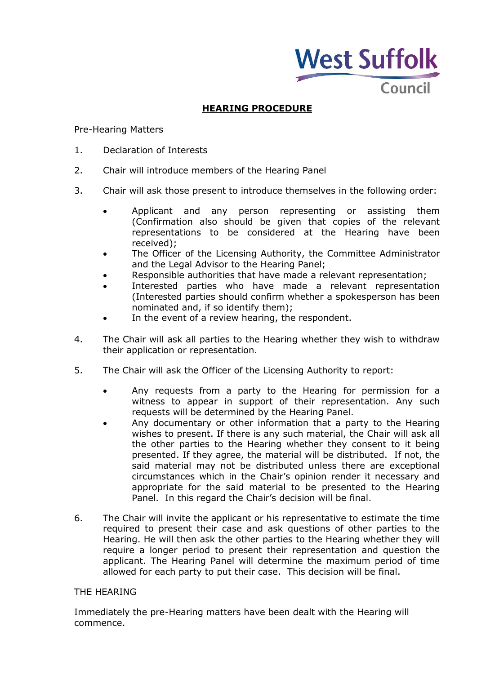

# **HEARING PROCEDURE**

#### Pre-Hearing Matters

- 1. Declaration of Interests
- 2. Chair will introduce members of the Hearing Panel
- 3. Chair will ask those present to introduce themselves in the following order:
	- Applicant and any person representing or assisting them (Confirmation also should be given that copies of the relevant representations to be considered at the Hearing have been received);
	- The Officer of the Licensing Authority, the Committee Administrator and the Legal Advisor to the Hearing Panel;
	- Responsible authorities that have made a relevant representation;
	- Interested parties who have made a relevant representation (Interested parties should confirm whether a spokesperson has been nominated and, if so identify them);
	- In the event of a review hearing, the respondent.
- 4. The Chair will ask all parties to the Hearing whether they wish to withdraw their application or representation.
- 5. The Chair will ask the Officer of the Licensing Authority to report:
	- Any requests from a party to the Hearing for permission for a witness to appear in support of their representation. Any such requests will be determined by the Hearing Panel.
	- Any documentary or other information that a party to the Hearing wishes to present. If there is any such material, the Chair will ask all the other parties to the Hearing whether they consent to it being presented. If they agree, the material will be distributed. If not, the said material may not be distributed unless there are exceptional circumstances which in the Chair's opinion render it necessary and appropriate for the said material to be presented to the Hearing Panel. In this regard the Chair's decision will be final.
- 6. The Chair will invite the applicant or his representative to estimate the time required to present their case and ask questions of other parties to the Hearing. He will then ask the other parties to the Hearing whether they will require a longer period to present their representation and question the applicant. The Hearing Panel will determine the maximum period of time allowed for each party to put their case. This decision will be final.

#### THE HEARING

Immediately the pre-Hearing matters have been dealt with the Hearing will commence.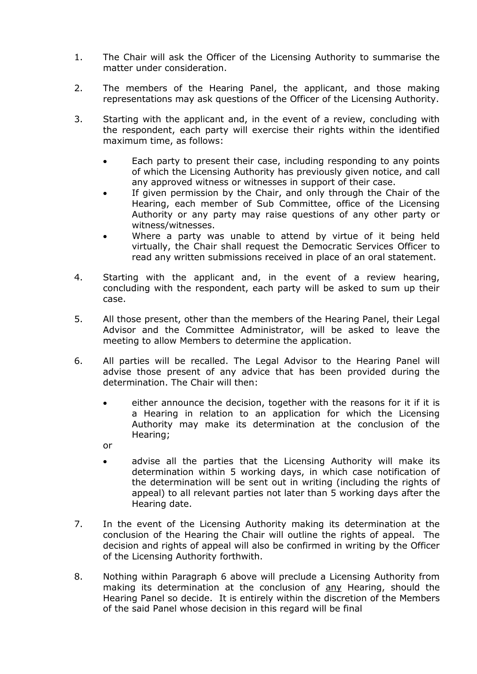- 1. The Chair will ask the Officer of the Licensing Authority to summarise the matter under consideration.
- 2. The members of the Hearing Panel, the applicant, and those making representations may ask questions of the Officer of the Licensing Authority.
- 3. Starting with the applicant and, in the event of a review, concluding with the respondent, each party will exercise their rights within the identified maximum time, as follows:
	- Each party to present their case, including responding to any points of which the Licensing Authority has previously given notice, and call any approved witness or witnesses in support of their case.
	- If given permission by the Chair, and only through the Chair of the Hearing, each member of Sub Committee, office of the Licensing Authority or any party may raise questions of any other party or witness/witnesses.
	- Where a party was unable to attend by virtue of it being held virtually, the Chair shall request the Democratic Services Officer to read any written submissions received in place of an oral statement.
- 4. Starting with the applicant and, in the event of a review hearing, concluding with the respondent, each party will be asked to sum up their case.
- 5. All those present, other than the members of the Hearing Panel, their Legal Advisor and the Committee Administrator, will be asked to leave the meeting to allow Members to determine the application.
- 6. All parties will be recalled. The Legal Advisor to the Hearing Panel will advise those present of any advice that has been provided during the determination. The Chair will then:
	- either announce the decision, together with the reasons for it if it is a Hearing in relation to an application for which the Licensing Authority may make its determination at the conclusion of the Hearing;
	- or
	- advise all the parties that the Licensing Authority will make its determination within 5 working days, in which case notification of the determination will be sent out in writing (including the rights of appeal) to all relevant parties not later than 5 working days after the Hearing date.
- 7. In the event of the Licensing Authority making its determination at the conclusion of the Hearing the Chair will outline the rights of appeal. The decision and rights of appeal will also be confirmed in writing by the Officer of the Licensing Authority forthwith.
- 8. Nothing within Paragraph 6 above will preclude a Licensing Authority from making its determination at the conclusion of any Hearing, should the Hearing Panel so decide. It is entirely within the discretion of the Members of the said Panel whose decision in this regard will be final